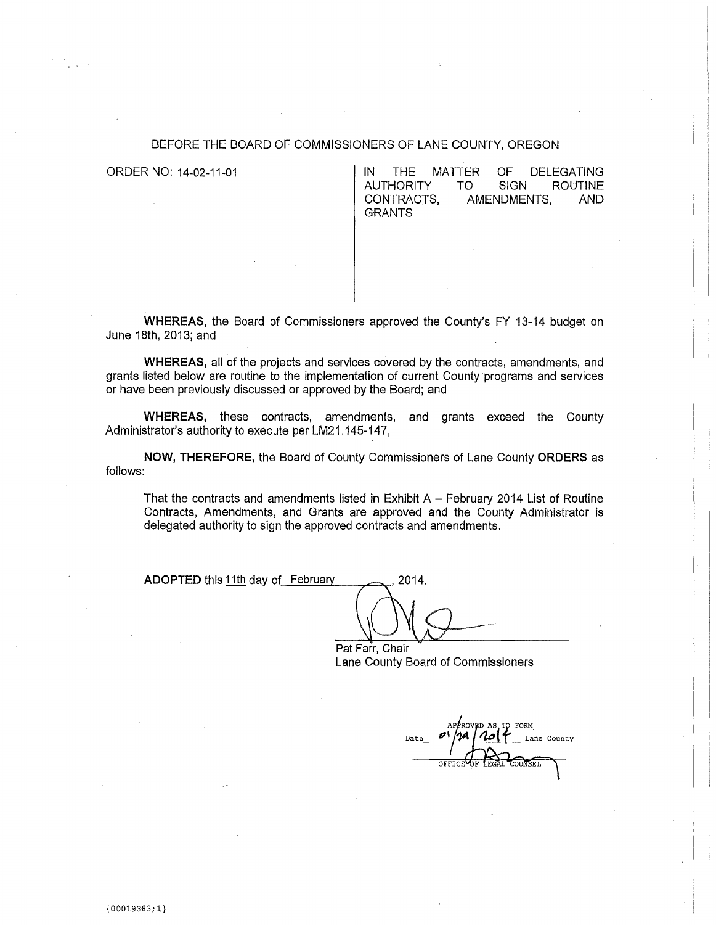#### BEFORE THE BOARD OF COMMISSIONERS OF LANE COUNTY, OREGON

ORDER NO: 14-02-11-01 **IN THE MATTER OF DELEGATING**<br>AUTHORITY TO SIGN ROUTINE AUTHORITY TO<br>CONTRACTS, AM AMENDMENTS, AND **GRANTS** 

**WHEREAS,** the Board of Commissioners approved the County's FY 13-14 budget on June 18th, 2013; and

**WHEREAS,** all of the projects and services covered by the contracts, amendments, and grants listed below are routine to the implementation of current County programs and services or have been previously discussed or approved by the Board; and

**WHEREAS,** these contracts, amendments, and grants exceed the County Administrator's authority to execute per LM21.145-147,

**NOW, THEREFORE,** the Board of County Commissioners of Lane County **ORDERS** as follows:

That the contracts and amendments listed in Exhibit  $A - Fe$  bruary 2014 List of Routine Contracts, Amendments, and Grants are approved and the County Administrator is delegated authority to sign the approved contracts and amendments.

**ADOPTED** this 11th day of February 2014.

Pat Farr, Chair Lane County Board of Commissioners

FORM D AS Lane County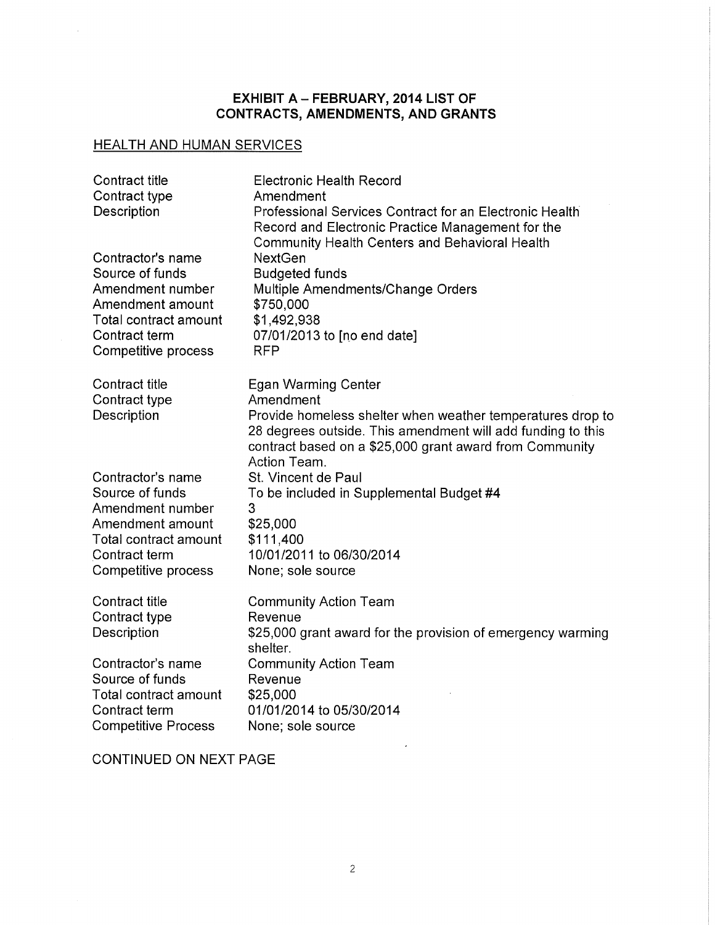#### EXHIBIT A – FEBRUARY, 2014 LIST OF CONTRACTS, AMENDMENTS, AND GRANTS

# HEALTH AND HUMAN SERVICES

 $\bar{ }$ 

| <b>Contract title</b><br>Contract type<br>Description                                                                                                                 | <b>Electronic Health Record</b><br>Amendment<br>Professional Services Contract for an Electronic Health<br>Record and Electronic Practice Management for the<br><b>Community Health Centers and Behavioral Health</b>                           |
|-----------------------------------------------------------------------------------------------------------------------------------------------------------------------|-------------------------------------------------------------------------------------------------------------------------------------------------------------------------------------------------------------------------------------------------|
| Contractor's name<br>Source of funds<br>Amendment number<br>Amendment amount<br>Total contract amount<br>Contract term<br>Competitive process                         | <b>NextGen</b><br><b>Budgeted funds</b><br>Multiple Amendments/Change Orders<br>\$750,000<br>\$1,492,938<br>07/01/2013 to [no end date]<br><b>RFP</b>                                                                                           |
| Contract title<br>Contract type<br>Description                                                                                                                        | <b>Egan Warming Center</b><br>Amendment<br>Provide homeless shelter when weather temperatures drop to<br>28 degrees outside. This amendment will add funding to this<br>contract based on a \$25,000 grant award from Community<br>Action Team. |
| Contractor's name<br>Source of funds<br>Amendment number<br>Amendment amount<br>Total contract amount<br>Contract term<br>Competitive process                         | St. Vincent de Paul<br>To be included in Supplemental Budget #4<br>3<br>\$25,000<br>\$111,400<br>10/01/2011 to 06/30/2014<br>None; sole source                                                                                                  |
| <b>Contract title</b><br>Contract type<br>Description<br>Contractor's name<br>Source of funds<br>Total contract amount<br>Contract term<br><b>Competitive Process</b> | <b>Community Action Team</b><br>Revenue<br>\$25,000 grant award for the provision of emergency warming<br>shelter.<br><b>Community Action Team</b><br>Revenue<br>\$25,000<br>01/01/2014 to 05/30/2014<br>None; sole source                      |
|                                                                                                                                                                       |                                                                                                                                                                                                                                                 |

CONTINUED ON NEXT PAGE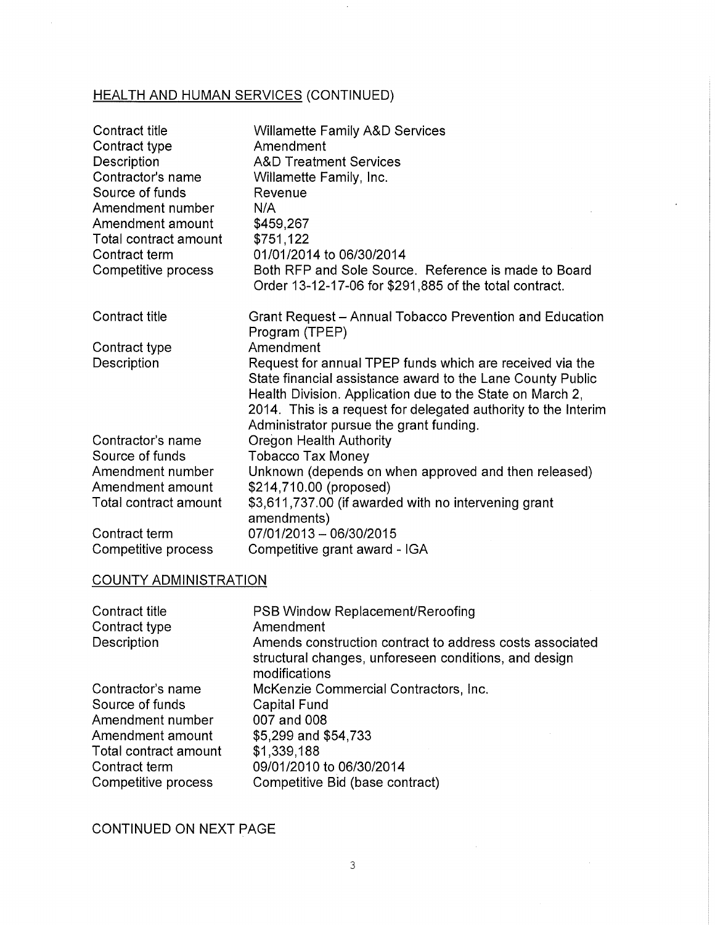# HEALTH AND HUMAN SERVICES (CONTINUED)

| <b>Contract title</b><br>Contract type<br>Description<br>Contractor's name<br>Source of funds<br>Amendment number<br>Amendment amount<br>Total contract amount<br>Contract term<br>Competitive process | <b>Willamette Family A&amp;D Services</b><br>Amendment<br><b>A&amp;D Treatment Services</b><br>Willamette Family, Inc.<br>Revenue<br>N/A<br>\$459,267<br>\$751,122<br>01/01/2014 to 06/30/2014<br>Both RFP and Sole Source. Reference is made to Board<br>Order 13-12-17-06 for \$291,885 of the total contract. |
|--------------------------------------------------------------------------------------------------------------------------------------------------------------------------------------------------------|------------------------------------------------------------------------------------------------------------------------------------------------------------------------------------------------------------------------------------------------------------------------------------------------------------------|
| Contract title                                                                                                                                                                                         | Grant Request – Annual Tobacco Prevention and Education<br>Program (TPEP)                                                                                                                                                                                                                                        |
| Contract type<br>Description                                                                                                                                                                           | Amendment<br>Request for annual TPEP funds which are received via the<br>State financial assistance award to the Lane County Public<br>Health Division. Application due to the State on March 2,<br>2014. This is a request for delegated authority to the Interim<br>Administrator pursue the grant funding.    |
| Contractor's name<br>Source of funds                                                                                                                                                                   | <b>Oregon Health Authority</b><br><b>Tobacco Tax Money</b>                                                                                                                                                                                                                                                       |
| Amendment number<br>Amendment amount<br>Total contract amount                                                                                                                                          | Unknown (depends on when approved and then released)<br>\$214,710.00 (proposed)<br>\$3,611,737.00 (if awarded with no intervening grant<br>amendments)                                                                                                                                                           |
| Contract term<br>Competitive process                                                                                                                                                                   | 07/01/2013 - 06/30/2015<br>Competitive grant award - IGA                                                                                                                                                                                                                                                         |

#### COUNTY ADMINISTRATION

| Contract title<br>Contract type | PSB Window Replacement/Reroofing<br>Amendment                                                                                      |
|---------------------------------|------------------------------------------------------------------------------------------------------------------------------------|
| Description                     | Amends construction contract to address costs associated<br>structural changes, unforeseen conditions, and design<br>modifications |
| Contractor's name               | McKenzie Commercial Contractors, Inc.                                                                                              |
| Source of funds                 | <b>Capital Fund</b>                                                                                                                |
| Amendment number                | 007 and 008                                                                                                                        |
| Amendment amount                | \$5,299 and \$54,733                                                                                                               |
| Total contract amount           | \$1,339,188                                                                                                                        |
| Contract term                   | 09/01/2010 to 06/30/2014                                                                                                           |
| Competitive process             | Competitive Bid (base contract)                                                                                                    |

CONTINUED ON NEXT PAGE